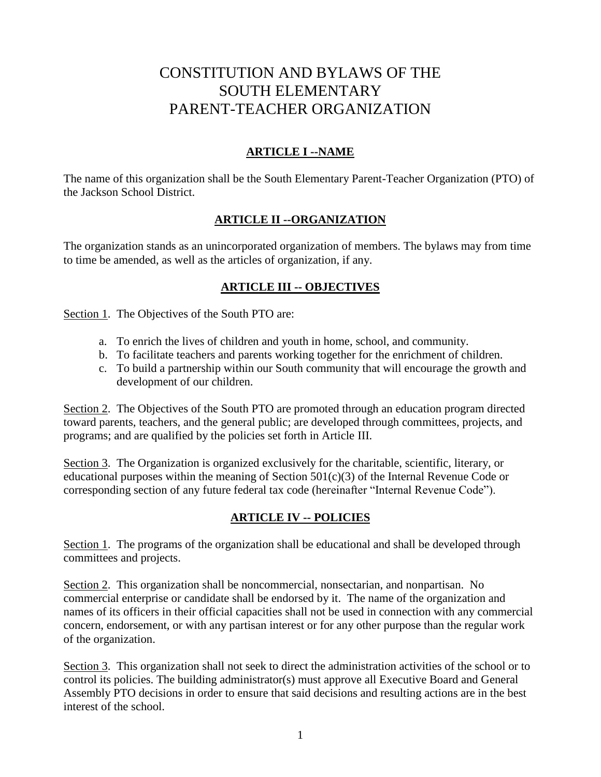# CONSTITUTION AND BYLAWS OF THE SOUTH ELEMENTARY PARENT-TEACHER ORGANIZATION

## **ARTICLE I --NAME**

The name of this organization shall be the South Elementary Parent-Teacher Organization (PTO) of the Jackson School District.

#### **ARTICLE II --ORGANIZATION**

The organization stands as an unincorporated organization of members. The bylaws may from time to time be amended, as well as the articles of organization, if any.

#### **ARTICLE III -- OBJECTIVES**

Section 1. The Objectives of the South PTO are:

- a. To enrich the lives of children and youth in home, school, and community.
- b. To facilitate teachers and parents working together for the enrichment of children.
- c. To build a partnership within our South community that will encourage the growth and development of our children.

Section 2. The Objectives of the South PTO are promoted through an education program directed toward parents, teachers, and the general public; are developed through committees, projects, and programs; and are qualified by the policies set forth in Article III.

Section 3. The Organization is organized exclusively for the charitable, scientific, literary, or educational purposes within the meaning of Section  $501(c)(3)$  of the Internal Revenue Code or corresponding section of any future federal tax code (hereinafter "Internal Revenue Code").

## **ARTICLE IV -- POLICIES**

Section 1. The programs of the organization shall be educational and shall be developed through committees and projects.

Section 2. This organization shall be noncommercial, nonsectarian, and nonpartisan. No commercial enterprise or candidate shall be endorsed by it. The name of the organization and names of its officers in their official capacities shall not be used in connection with any commercial concern, endorsement, or with any partisan interest or for any other purpose than the regular work of the organization.

Section 3. This organization shall not seek to direct the administration activities of the school or to control its policies. The building administrator(s) must approve all Executive Board and General Assembly PTO decisions in order to ensure that said decisions and resulting actions are in the best interest of the school.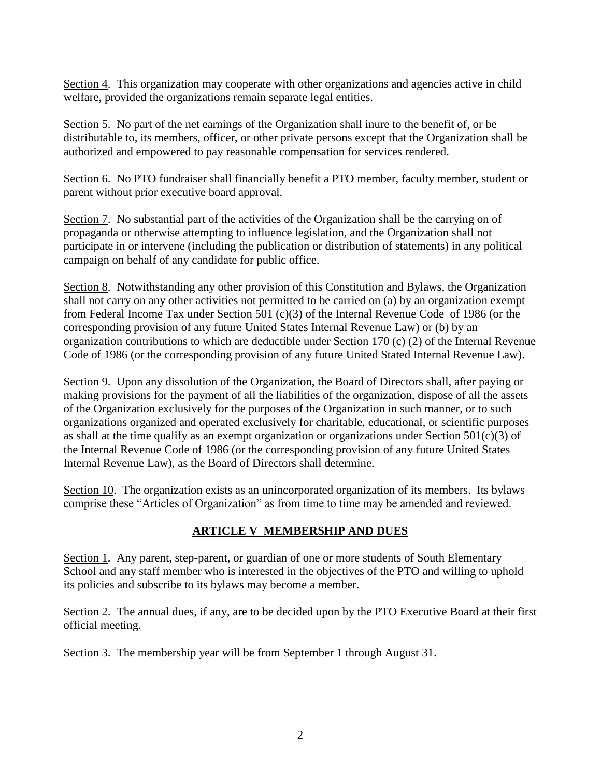Section 4. This organization may cooperate with other organizations and agencies active in child welfare, provided the organizations remain separate legal entities.

Section 5. No part of the net earnings of the Organization shall inure to the benefit of, or be distributable to, its members, officer, or other private persons except that the Organization shall be authorized and empowered to pay reasonable compensation for services rendered.

Section 6. No PTO fundraiser shall financially benefit a PTO member, faculty member, student or parent without prior executive board approval.

Section 7. No substantial part of the activities of the Organization shall be the carrying on of propaganda or otherwise attempting to influence legislation, and the Organization shall not participate in or intervene (including the publication or distribution of statements) in any political campaign on behalf of any candidate for public office.

Section 8. Notwithstanding any other provision of this Constitution and Bylaws, the Organization shall not carry on any other activities not permitted to be carried on (a) by an organization exempt from Federal Income Tax under Section 501 (c)(3) of the Internal Revenue Code of 1986 (or the corresponding provision of any future United States Internal Revenue Law) or (b) by an organization contributions to which are deductible under Section 170 (c) (2) of the Internal Revenue Code of 1986 (or the corresponding provision of any future United Stated Internal Revenue Law).

Section 9. Upon any dissolution of the Organization, the Board of Directors shall, after paying or making provisions for the payment of all the liabilities of the organization, dispose of all the assets of the Organization exclusively for the purposes of the Organization in such manner, or to such organizations organized and operated exclusively for charitable, educational, or scientific purposes as shall at the time qualify as an exempt organization or organizations under Section  $501(c)(3)$  of the Internal Revenue Code of 1986 (or the corresponding provision of any future United States Internal Revenue Law), as the Board of Directors shall determine.

Section 10. The organization exists as an unincorporated organization of its members. Its bylaws comprise these "Articles of Organization" as from time to time may be amended and reviewed.

#### **ARTICLE V MEMBERSHIP AND DUES**

Section 1. Any parent, step-parent, or guardian of one or more students of South Elementary School and any staff member who is interested in the objectives of the PTO and willing to uphold its policies and subscribe to its bylaws may become a member.

Section 2. The annual dues, if any, are to be decided upon by the PTO Executive Board at their first official meeting.

Section 3. The membership year will be from September 1 through August 31.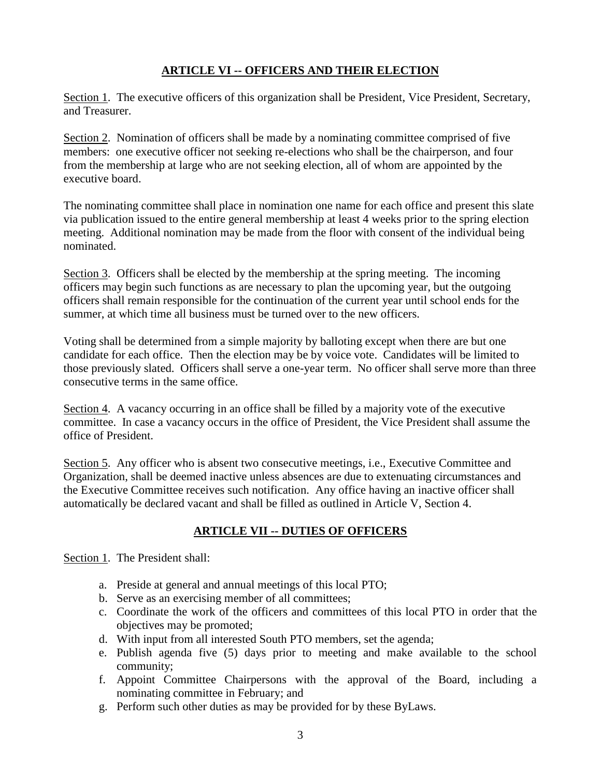## **ARTICLE VI -- OFFICERS AND THEIR ELECTION**

Section 1. The executive officers of this organization shall be President, Vice President, Secretary, and Treasurer.

Section 2. Nomination of officers shall be made by a nominating committee comprised of five members: one executive officer not seeking re-elections who shall be the chairperson, and four from the membership at large who are not seeking election, all of whom are appointed by the executive board.

The nominating committee shall place in nomination one name for each office and present this slate via publication issued to the entire general membership at least 4 weeks prior to the spring election meeting. Additional nomination may be made from the floor with consent of the individual being nominated.

Section 3. Officers shall be elected by the membership at the spring meeting. The incoming officers may begin such functions as are necessary to plan the upcoming year, but the outgoing officers shall remain responsible for the continuation of the current year until school ends for the summer, at which time all business must be turned over to the new officers.

Voting shall be determined from a simple majority by balloting except when there are but one candidate for each office. Then the election may be by voice vote. Candidates will be limited to those previously slated. Officers shall serve a one-year term. No officer shall serve more than three consecutive terms in the same office.

Section 4. A vacancy occurring in an office shall be filled by a majority vote of the executive committee. In case a vacancy occurs in the office of President, the Vice President shall assume the office of President.

Section 5. Any officer who is absent two consecutive meetings, i.e., Executive Committee and Organization, shall be deemed inactive unless absences are due to extenuating circumstances and the Executive Committee receives such notification. Any office having an inactive officer shall automatically be declared vacant and shall be filled as outlined in Article V, Section 4.

## **ARTICLE VII -- DUTIES OF OFFICERS**

Section 1. The President shall:

- a. Preside at general and annual meetings of this local PTO;
- b. Serve as an exercising member of all committees;
- c. Coordinate the work of the officers and committees of this local PTO in order that the objectives may be promoted;
- d. With input from all interested South PTO members, set the agenda;
- e. Publish agenda five (5) days prior to meeting and make available to the school community;
- f. Appoint Committee Chairpersons with the approval of the Board, including a nominating committee in February; and
- g. Perform such other duties as may be provided for by these ByLaws.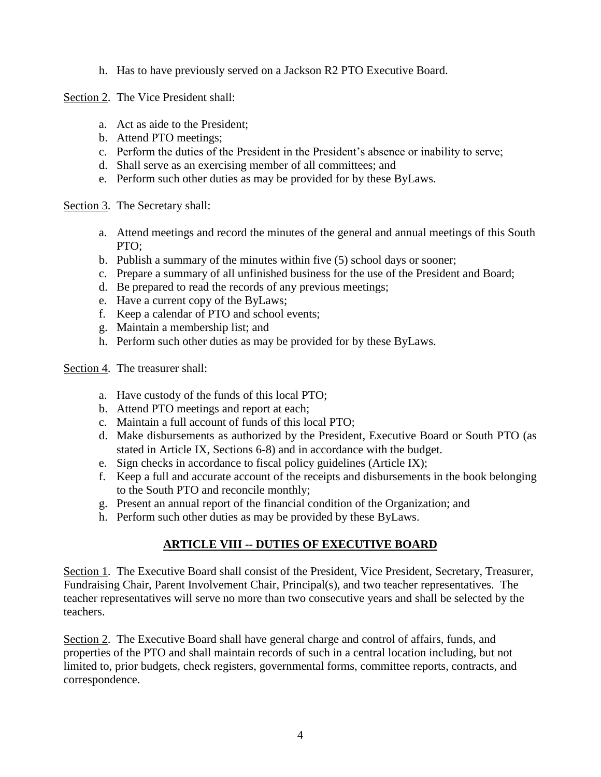h. Has to have previously served on a Jackson R2 PTO Executive Board.

Section 2. The Vice President shall:

- a. Act as aide to the President;
- b. Attend PTO meetings;
- c. Perform the duties of the President in the President's absence or inability to serve;
- d. Shall serve as an exercising member of all committees; and
- e. Perform such other duties as may be provided for by these ByLaws.

Section 3. The Secretary shall:

- a. Attend meetings and record the minutes of the general and annual meetings of this South PTO;
- b. Publish a summary of the minutes within five (5) school days or sooner;
- c. Prepare a summary of all unfinished business for the use of the President and Board;
- d. Be prepared to read the records of any previous meetings;
- e. Have a current copy of the ByLaws;
- f. Keep a calendar of PTO and school events;
- g. Maintain a membership list; and
- h. Perform such other duties as may be provided for by these ByLaws.
- Section 4. The treasurer shall:
	- a. Have custody of the funds of this local PTO;
	- b. Attend PTO meetings and report at each;
	- c. Maintain a full account of funds of this local PTO;
	- d. Make disbursements as authorized by the President, Executive Board or South PTO (as stated in Article IX, Sections 6-8) and in accordance with the budget.
	- e. Sign checks in accordance to fiscal policy guidelines (Article IX);
	- f. Keep a full and accurate account of the receipts and disbursements in the book belonging to the South PTO and reconcile monthly;
	- g. Present an annual report of the financial condition of the Organization; and
	- h. Perform such other duties as may be provided by these ByLaws.

## **ARTICLE VIII -- DUTIES OF EXECUTIVE BOARD**

Section 1. The Executive Board shall consist of the President, Vice President, Secretary, Treasurer, Fundraising Chair, Parent Involvement Chair, Principal(s), and two teacher representatives. The teacher representatives will serve no more than two consecutive years and shall be selected by the teachers.

Section 2. The Executive Board shall have general charge and control of affairs, funds, and properties of the PTO and shall maintain records of such in a central location including, but not limited to, prior budgets, check registers, governmental forms, committee reports, contracts, and correspondence.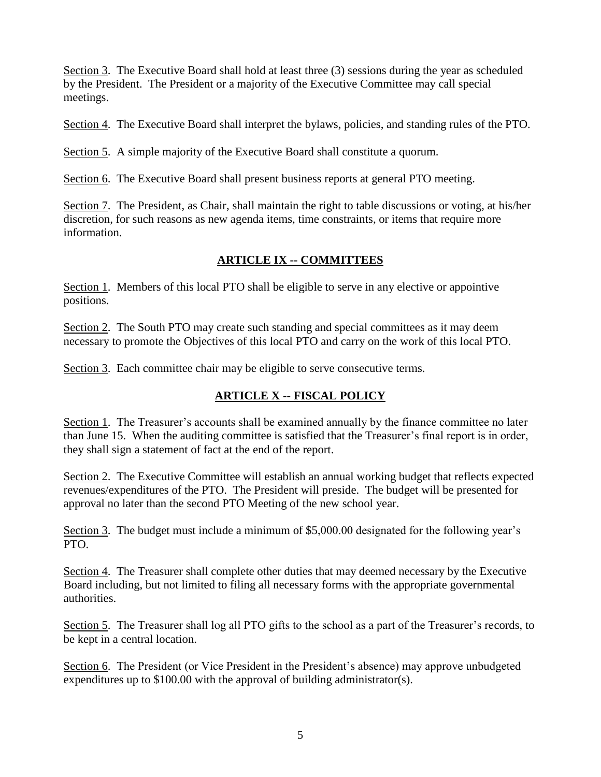Section 3. The Executive Board shall hold at least three (3) sessions during the year as scheduled by the President. The President or a majority of the Executive Committee may call special meetings.

Section 4. The Executive Board shall interpret the bylaws, policies, and standing rules of the PTO.

Section 5. A simple majority of the Executive Board shall constitute a quorum.

Section 6. The Executive Board shall present business reports at general PTO meeting.

Section 7. The President, as Chair, shall maintain the right to table discussions or voting, at his/her discretion, for such reasons as new agenda items, time constraints, or items that require more information.

## **ARTICLE IX -- COMMITTEES**

Section 1. Members of this local PTO shall be eligible to serve in any elective or appointive positions.

Section 2. The South PTO may create such standing and special committees as it may deem necessary to promote the Objectives of this local PTO and carry on the work of this local PTO.

Section 3. Each committee chair may be eligible to serve consecutive terms.

## **ARTICLE X -- FISCAL POLICY**

Section 1. The Treasurer's accounts shall be examined annually by the finance committee no later than June 15. When the auditing committee is satisfied that the Treasurer's final report is in order, they shall sign a statement of fact at the end of the report.

Section 2. The Executive Committee will establish an annual working budget that reflects expected revenues/expenditures of the PTO. The President will preside. The budget will be presented for approval no later than the second PTO Meeting of the new school year.

Section 3. The budget must include a minimum of \$5,000.00 designated for the following year's PTO.

Section 4. The Treasurer shall complete other duties that may deemed necessary by the Executive Board including, but not limited to filing all necessary forms with the appropriate governmental authorities.

Section 5. The Treasurer shall log all PTO gifts to the school as a part of the Treasurer's records, to be kept in a central location.

Section 6. The President (or Vice President in the President's absence) may approve unbudgeted expenditures up to \$100.00 with the approval of building administrator(s).